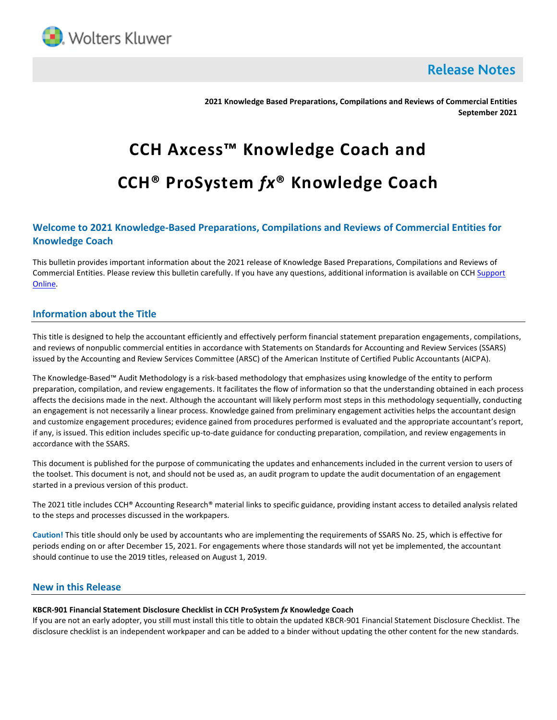

**Release Notes** 

**2021 Knowledge Based Preparations, Compilations and Reviews of Commercial Entities September 2021**

# **CCH Axcess™ Knowledge Coach and CCH® ProSystem** *fx***® Knowledge Coach**

## **Welcome to 2021 Knowledge-Based Preparations, Compilations and Reviews of Commercial Entities for Knowledge Coach**

This bulletin provides important information about the 2021 release of Knowledge Based Preparations, Compilations and Reviews of Commercial Entities. Please review this bulletin carefully. If you have any questions, additional information is available on CCH Support [Online.](http://support.cch.com/productsupport/)

## **Information about the Title**

This title is designed to help the accountant efficiently and effectively perform financial statement preparation engagements, compilations, and reviews of nonpublic commercial entities in accordance with Statements on Standards for Accounting and Review Services (SSARS) issued by the Accounting and Review Services Committee (ARSC) of the American Institute of Certified Public Accountants (AICPA).

The Knowledge-Based™ Audit Methodology is a risk-based methodology that emphasizes using knowledge of the entity to perform preparation, compilation, and review engagements. It facilitates the flow of information so that the understanding obtained in each process affects the decisions made in the next. Although the accountant will likely perform most steps in this methodology sequentially, conducting an engagement is not necessarily a linear process. Knowledge gained from preliminary engagement activities helps the accountant design and customize engagement procedures; evidence gained from procedures performed is evaluated and the appropriate accountant's report, if any, is issued. This edition includes specific up-to-date guidance for conducting preparation, compilation, and review engagements in accordance with the SSARS.

This document is published for the purpose of communicating the updates and enhancements included in the current version to users of the toolset. This document is not, and should not be used as, an audit program to update the audit documentation of an engagement started in a previous version of this product.

The 2021 title includes CCH® Accounting Research® material links to specific guidance, providing instant access to detailed analysis related to the steps and processes discussed in the workpapers.

**Caution!** This title should only be used by accountants who are implementing the requirements of SSARS No. 25, which is effective for periods ending on or after December 15, 2021. For engagements where those standards will not yet be implemented, the accountant should continue to use the 2019 titles, released on August 1, 2019.

## **New in this Release**

### **KBCR-901 Financial Statement Disclosure Checklist in CCH ProSystem** *fx* **Knowledge Coach**

If you are not an early adopter, you still must install this title to obtain the updated KBCR-901 Financial Statement Disclosure Checklist. The disclosure checklist is an independent workpaper and can be added to a binder without updating the other content for the new standards.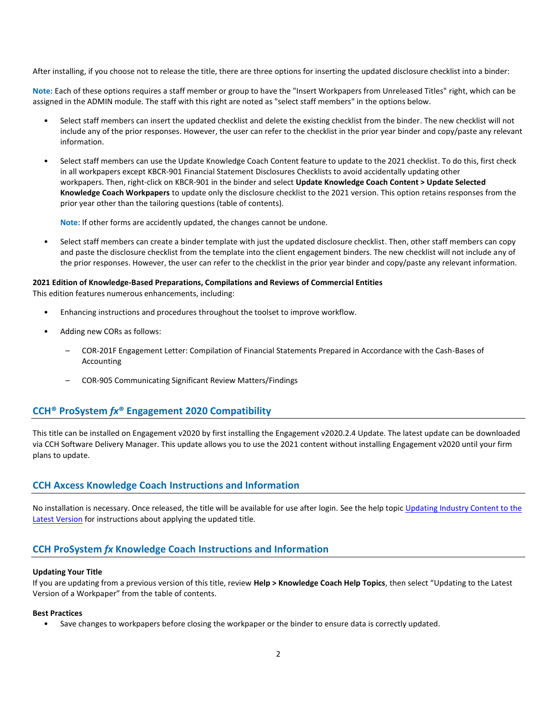After installing, if you choose not to release the title, there are three options for inserting the updated disclosure checklist into a binder:

**Note:** Each of these options requires a staff member or group to have the "Insert Workpapers from Unreleased Titles" right, which can be assigned in the ADMIN module. The staff with this right are noted as "select staff members" in the options below.

- Select staff members can insert the updated checklist and delete the existing checklist from the binder. The new checklist will not include any of the prior responses. However, the user can refer to the checklist in the prior year binder and copy/paste any relevant information.
- Select staff members can use the Update Knowledge Coach Content feature to update to the 2021 checklist. To do this, first check in all workpapers except KBCR-901 Financial Statement Disclosures Checklists to avoid accidentally updating other workpapers. Then, right-click on KBCR-901 in the binder and select **Update Knowledge Coach Content > Update Selected Knowledge Coach Workpapers** to update only the disclosure checklist to the 2021 version. This option retains responses from the prior year other than the tailoring questions (table of contents).

**Note**: If other forms are accidently updated, the changes cannot be undone.

• Select staff members can create a binder template with just the updated disclosure checklist. Then, other staff members can copy and paste the disclosure checklist from the template into the client engagement binders. The new checklist will not include any of the prior responses. However, the user can refer to the checklist in the prior year binder and copy/paste any relevant information.

### **2021 Edition of Knowledge-Based Preparations, Compilations and Reviews of Commercial Entities**

This edition features numerous enhancements, including:

- Enhancing instructions and procedures throughout the toolset to improve workflow.
- Adding new CORs as follows:
	- COR-201F Engagement Letter: Compilation of Financial Statements Prepared in Accordance with the Cash-Bases of Accounting
	- COR-905 Communicating Significant Review Matters/Findings

## **CCH® ProSystem** *fx***® Engagement 2020 Compatibility**

This title can be installed on Engagement v2020 by first installing the Engagement v2020.2.4 Update. The latest update can be downloaded via CCH Software Delivery Manager. This update allows you to use the 2021 content without installing Engagement v2020 until your firm plans to update.

## **CCH Axcess Knowledge Coach Instructions and Information**

No installation is necessary. Once released, the title will be available for use after login. See the help topic Updating Industry Content to the [Latest Version](https://knowledgecoach.cchaxcess.com/Knowledge-Coach/Content/Engagements/Eng-Update-content.htm) for instructions about applying the updated title.

## **CCH ProSystem** *fx* **Knowledge Coach Instructions and Information**

#### **Updating Your Title**

If you are updating from a previous version of this title, review **Help > Knowledge Coach Help Topics**, then select "Updating to the Latest Version of a Workpaper" from the table of contents.

#### **Best Practices**

• Save changes to workpapers before closing the workpaper or the binder to ensure data is correctly updated.